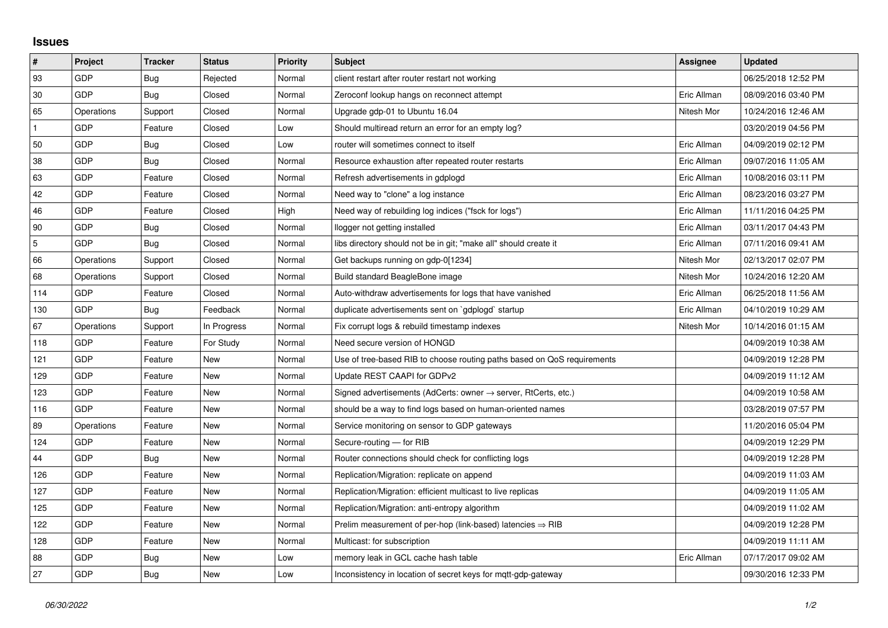## **Issues**

| $\vert$ #      | Project    | <b>Tracker</b> | <b>Status</b> | <b>Priority</b> | <b>Subject</b>                                                             | <b>Assignee</b> | <b>Updated</b>      |
|----------------|------------|----------------|---------------|-----------------|----------------------------------------------------------------------------|-----------------|---------------------|
| 93             | GDP        | Bug            | Rejected      | Normal          | client restart after router restart not working                            |                 | 06/25/2018 12:52 PM |
| 30             | GDP        | Bug            | Closed        | Normal          | Zeroconf lookup hangs on reconnect attempt                                 | Eric Allman     | 08/09/2016 03:40 PM |
| 65             | Operations | Support        | Closed        | Normal          | Upgrade gdp-01 to Ubuntu 16.04                                             | Nitesh Mor      | 10/24/2016 12:46 AM |
| $\mathbf{1}$   | GDP        | Feature        | Closed        | Low             | Should multiread return an error for an empty log?                         |                 | 03/20/2019 04:56 PM |
| 50             | GDP        | Bug            | Closed        | Low             | router will sometimes connect to itself                                    | Eric Allman     | 04/09/2019 02:12 PM |
| 38             | GDP        | <b>Bug</b>     | Closed        | Normal          | Resource exhaustion after repeated router restarts                         | Eric Allman     | 09/07/2016 11:05 AM |
| 63             | GDP        | Feature        | Closed        | Normal          | Refresh advertisements in gdplogd                                          | Eric Allman     | 10/08/2016 03:11 PM |
| 42             | GDP        | Feature        | Closed        | Normal          | Need way to "clone" a log instance                                         | Eric Allman     | 08/23/2016 03:27 PM |
| 46             | GDP        | Feature        | Closed        | High            | Need way of rebuilding log indices ("fsck for logs")                       | Eric Allman     | 11/11/2016 04:25 PM |
| 90             | GDP        | Bug            | Closed        | Normal          | llogger not getting installed                                              | Eric Allman     | 03/11/2017 04:43 PM |
| $\overline{5}$ | GDP        | <b>Bug</b>     | Closed        | Normal          | libs directory should not be in git; "make all" should create it           | Eric Allman     | 07/11/2016 09:41 AM |
| 66             | Operations | Support        | Closed        | Normal          | Get backups running on gdp-0[1234]                                         | Nitesh Mor      | 02/13/2017 02:07 PM |
| 68             | Operations | Support        | Closed        | Normal          | Build standard BeagleBone image                                            | Nitesh Mor      | 10/24/2016 12:20 AM |
| 114            | GDP        | Feature        | Closed        | Normal          | Auto-withdraw advertisements for logs that have vanished                   | Eric Allman     | 06/25/2018 11:56 AM |
| 130            | GDP        | Bug            | Feedback      | Normal          | duplicate advertisements sent on `gdplogd` startup                         | Eric Allman     | 04/10/2019 10:29 AM |
| 67             | Operations | Support        | In Progress   | Normal          | Fix corrupt logs & rebuild timestamp indexes                               | Nitesh Mor      | 10/14/2016 01:15 AM |
| 118            | GDP        | Feature        | For Study     | Normal          | Need secure version of HONGD                                               |                 | 04/09/2019 10:38 AM |
| 121            | GDP        | Feature        | <b>New</b>    | Normal          | Use of tree-based RIB to choose routing paths based on QoS requirements    |                 | 04/09/2019 12:28 PM |
| 129            | GDP        | Feature        | New           | Normal          | Update REST CAAPI for GDPv2                                                |                 | 04/09/2019 11:12 AM |
| 123            | GDP        | Feature        | New           | Normal          | Signed advertisements (AdCerts: owner $\rightarrow$ server, RtCerts, etc.) |                 | 04/09/2019 10:58 AM |
| 116            | GDP        | Feature        | New           | Normal          | should be a way to find logs based on human-oriented names                 |                 | 03/28/2019 07:57 PM |
| 89             | Operations | Feature        | New           | Normal          | Service monitoring on sensor to GDP gateways                               |                 | 11/20/2016 05:04 PM |
| 124            | GDP        | Feature        | <b>New</b>    | Normal          | Secure-routing - for RIB                                                   |                 | 04/09/2019 12:29 PM |
| 44             | GDP        | Bug            | New           | Normal          | Router connections should check for conflicting logs                       |                 | 04/09/2019 12:28 PM |
| 126            | GDP        | Feature        | New           | Normal          | Replication/Migration: replicate on append                                 |                 | 04/09/2019 11:03 AM |
| 127            | GDP        | Feature        | New           | Normal          | Replication/Migration: efficient multicast to live replicas                |                 | 04/09/2019 11:05 AM |
| 125            | GDP        | Feature        | New           | Normal          | Replication/Migration: anti-entropy algorithm                              |                 | 04/09/2019 11:02 AM |
| 122            | GDP        | Feature        | New           | Normal          | Prelim measurement of per-hop (link-based) latencies $\Rightarrow$ RIB     |                 | 04/09/2019 12:28 PM |
| 128            | GDP        | Feature        | New           | Normal          | Multicast: for subscription                                                |                 | 04/09/2019 11:11 AM |
| 88             | GDP        | Bug            | New           | Low             | memory leak in GCL cache hash table                                        | Eric Allman     | 07/17/2017 09:02 AM |
| 27             | GDP        | <b>Bug</b>     | New           | Low             | Inconsistency in location of secret keys for mgtt-gdp-gateway              |                 | 09/30/2016 12:33 PM |